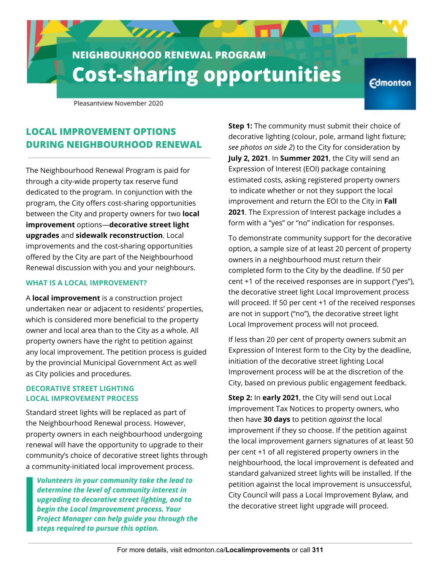# **NEIGHBOURHOOD RENEWAL PROGRAM Cost-sharing opportunities**

 $\overline{U}$ 

**Edmonton** 

Pleasantview November 2020

## **LOCAL IMPROVEMENT OPTIONS DURING NEIGHBOURHOOD RENEWAL**

The Neighbourhood Renewal Program is paid for through a city-wide property tax reserve fund dedicated to the program. In conjunction with the program, the City offers cost-sharing opportunities between the City and property owners for two **local improvement** options—**decorative street light upgrades** and **sidewalk reconstruction**. Local improvements and the cost-sharing opportunities offered by the City are part of the Neighbourhood Renewal discussion with you and your neighbours.

#### **WHAT IS A LOCAL IMPROVEMENT?**

A **local improvement** is a construction project undertaken near or adjacent to residents' properties, which is considered more beneficial to the property owner and local area than to the City as a whole. All property owners have the right to petition against any local improvement. The petition process is guided by the provincial Municipal Government Act as well as City policies and procedures.

#### **DECORATIVE STREET LIGHTING LOCAL IMPROVEMENT PROCESS**

Standard street lights will be replaced as part of the Neighbourhood Renewal process. However, property owners in each neighbourhood undergoing renewal will have the opportunity to upgrade to their community's choice of decorative street lights through a community-initiated local improvement process.

Volunteers in your community take the lead to determine the level of community interest in upgrading to decorative street lighting, and to begin the Local Improvement process. Your Project Manager can help guide you through the steps required to pursue this option.

**Step 1:** The community must submit their choice of decorative lighting (colour, pole, armand light fixture; *see photos on side 2*) to the City for consideration by **July 2, 2021**. In **Summer 2021**, the City will send an Expression of Interest (EOI) package containing estimated costs, asking registered property owners to indicate whether or not they support the local improvement and return the EOI to the City in **Fall 2021**. The Expression of Interest package includes a form with a "yes" or "no" indication for responses.

To demonstrate community support for the decorative option, a sample size of at least 20 percent of property owners in a neighbourhood must return their completed form to the City by the deadline. If 50 per cent +1 of the received responses are in support ("yes"), the decorative street light Local Improvement process will proceed. If 50 per cent +1 of the received responses are not in support ("no"), the decorative street light Local Improvement process will not proceed.

If less than 20 per cent of property owners submit an Expression of Interest form to the City by the deadline, initiation of the decorative street lighting Local Improvement process will be at the discretion of the City, based on previous public engagement feedback.

**Step 2:** In **early 2021**, the City will send out Local Improvement Tax Notices to property owners, who then have **30 days** to petition *against* the local improvement if they so choose. If the petition against the local improvement garners signatures of at least 50 per cent +1 of all registered property owners in the neighbourhood, the local improvement is defeated and standard galvanized street lights will be installed. If the petition against the local improvement is unsuccessful, City Council will pass a Local Improvement Bylaw, and the decorative street light upgrade will proceed.